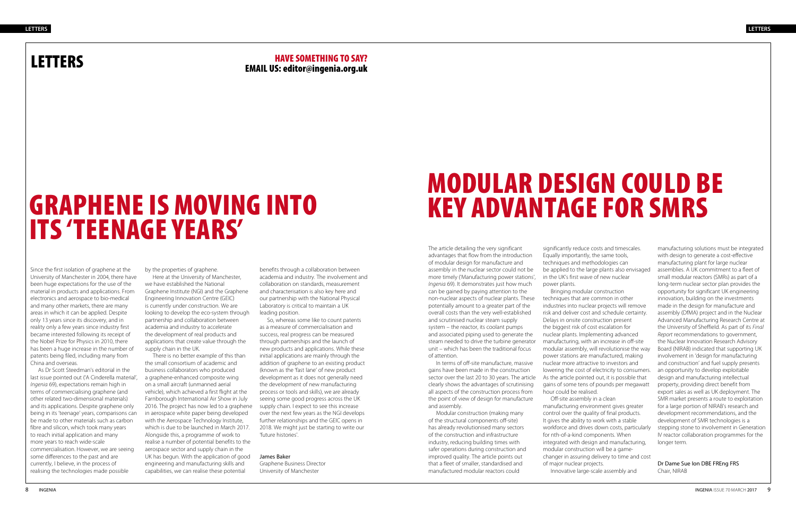### LETTERS

### GRAPHENE IS MOVING INTO ITS 'TEENAGE YEARS'

### HAVE SOMETHING TO SAY? EMAIL US: editor@ingenia.org.uk

Since the first isolation of graphene at the University of Manchester in 2004, there have been huge expectations for the use of the material in products and applications. From electronics and aerospace to bio-medical and many other markets, there are many areas in which it can be applied. Despite only 13 years since its discovery, and in reality only a few years since industry first became interested following its receipt of the Nobel Prize for Physics in 2010, there has been a huge increase in the number of patents being filed, including many from China and overseas.

As Dr Scott Steedman's editorial in the last issue pointed out ('A Cinderella material', *Ingenia* 69), expectations remain high in terms of commercialising graphene (and other related two-dimensional materials) and its applications. Despite graphene only being in its 'teenage' years, comparisons can be made to other materials such as carbon fibre and silicon, which took many years to reach initial application and many more years to reach wide-scale commercialisation. However, we are seeing some differences to the past and are currently, I believe, in the process of realising the technologies made possible

by the properties of graphene.

Here at the University of Manchester, we have established the National Graphene Institute (NGI) and the Graphene Engineering Innovation Centre (GEIC) is currently under construction. We are looking to develop the eco-system through partnership and collaboration between academia and industry to accelerate the development of real products and applications that create value through the supply chain in the UK.

There is no better example of this than the small consortium of academic and business collaborators who produced a graphene-enhanced composite wing on a small aircraft (unmanned aerial vehicle), which achieved a first flight at the Farnborough International Air Show in July 2016. The project has now led to a graphene in aerospace white paper being developed with the Aerospace Technology Institute, which is due to be launched in March 2017. Alongside this, a programme of work to realise a number of potential benefits to the aerospace sector and supply chain in the UK has begun. With the application of good engineering and manufacturing skills and capabilities, we can realise these potential

benefits through a collaboration between academia and industry. The involvement and collaboration on standards, measurement and characterisation is also key here and our partnership with the National Physical Laboratory is critical to maintain a UK leading position.

So, whereas some like to count patents as a measure of commercialisation and success, real progress can be measured through partnerships and the launch of new products and applications. While these initial applications are mainly through the addition of graphene to an existing product (known as the 'fast lane' of new product development as it does not generally need the development of new manufacturing process or tools and skills), we are already seeing some good progress across the UK supply chain. I expect to see this increase over the next few years as the NGI develops further relationships and the GEIC opens in 2018. We might just be starting to write our 'future histories'.

#### James Baker

Graphene Business Director University of Manchester

## MODULAR DESIGN COULD BE KEY ADVANTAGE FOR SMRS

The article detailing the very significant advantages that flow from the introduction of modular design for manufacture and assembly in the nuclear sector could not be more timely ('Manufacturing power stations', *Ingenia* 69). It demonstrates just how much can be gained by paying attention to the non-nuclear aspects of nuclear plants. These potentially amount to a greater part of the overall costs than the very well-established and scrutinised nuclear steam supply system – the reactor, its coolant pumps and associated piping used to generate the steam needed to drive the turbine generator unit – which has been the traditional focus of attention.

In terms of off-site manufacture, massive gains have been made in the construction sector over the last 20 to 30 years. The article clearly shows the advantages of scrutinising all aspects of the construction process from the point of view of design for manufacture and assembly.

Modular construction (making many of the structural components off-site) has already revolutionised many sectors of the construction and infrastructure industry, reducing building times with safer operations during construction and improved quality. The article points out that a fleet of smaller, standardised and manufactured modular reactors could

significantly reduce costs and timescales. Equally importantly, the same tools, techniques and methodologies can be applied to the large plants also envisaged in the UK's first wave of new nuclear power plants.

Bringing modular construction techniques that are common in other industries into nuclear projects will remove risk and deliver cost and schedule certainty. Delays in onsite construction present the biggest risk of cost escalation for nuclear plants. Implementing advanced manufacturing, with an increase in off-site modular assembly, will revolutionise the way power stations are manufactured, making nuclear more attractive to investors and lowering the cost of electricity to consumers. As the article pointed out, it is possible that gains of some tens of pounds per megawatt hour could be realised.

Off-site assembly in a clean manufacturing environment gives greater control over the quality of final products. It gives the ability to work with a stable workforce and drives down costs, particularly for nth-of-a-kind components. When integrated with design and manufacturing, modular construction will be a gamechanger in assuring delivery to time and cost of major nuclear projects.

Innovative large-scale assembly and

manufacturing solutions must be integrated with design to generate a cost-effective manufacturing plant for large nuclear assemblies. A UK commitment to a fleet of small modular reactors (SMRs) as part of a long-term nuclear sector plan provides the opportunity for significant UK engineering innovation, building on the investments made in the design for manufacture and assembly (DfMA) project and in the Nuclear Advanced Manufacturing Research Centre at the University of Sheffield. As part of its *Final Report* recommendations to government, the Nuclear Innovation Research Advisory Board (NIRAB) indicated that supporting UK involvement in 'design for manufacturing and construction' and fuel supply presents an opportunity to develop exploitable design and manufacturing intellectual property, providing direct benefit from export sales as well as UK deployment. The SMR market presents a route to exploitation for a large portion of NIRAB's research and development recommendations, and the development of SMR technologies is a stepping stone to involvement in Generation IV reactor collaboration programmes for the longer term.

Dr Dame Sue Ion DBE FREng FRS Chair, NIRAB